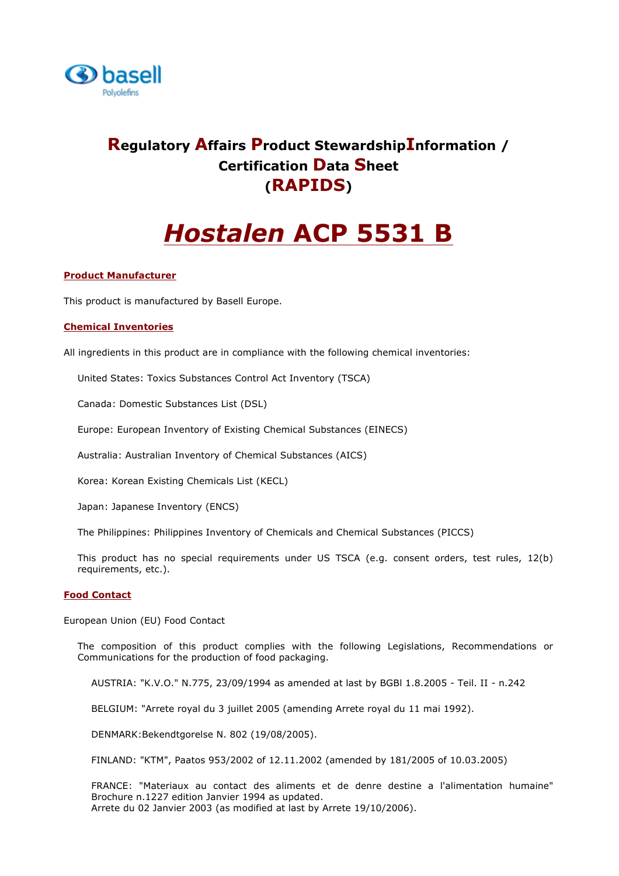

# Regulatory Affairs Product StewardshipInformation / Certification Data Sheet (RAPIDS)

# Hostalen ACP 5531 B

# Product Manufacturer

This product is manufactured by Basell Europe.

# Chemical Inventories

All ingredients in this product are in compliance with the following chemical inventories:

United States: Toxics Substances Control Act Inventory (TSCA)

Canada: Domestic Substances List (DSL)

Europe: European Inventory of Existing Chemical Substances (EINECS)

Australia: Australian Inventory of Chemical Substances (AICS)

Korea: Korean Existing Chemicals List (KECL)

Japan: Japanese Inventory (ENCS)

The Philippines: Philippines Inventory of Chemicals and Chemical Substances (PICCS)

This product has no special requirements under US TSCA (e.g. consent orders, test rules, 12(b) requirements, etc.).

# Food Contact

European Union (EU) Food Contact

The composition of this product complies with the following Legislations, Recommendations or Communications for the production of food packaging.

AUSTRIA: "K.V.O." N.775, 23/09/1994 as amended at last by BGBl 1.8.2005 - Teil. II - n.242

BELGIUM: "Arrete royal du 3 juillet 2005 (amending Arrete royal du 11 mai 1992).

DENMARK:Bekendtgorelse N. 802 (19/08/2005).

FINLAND: "KTM", Paatos 953/2002 of 12.11.2002 (amended by 181/2005 of 10.03.2005)

FRANCE: "Materiaux au contact des aliments et de denre destine a l'alimentation humaine" Brochure n.1227 edition Janvier 1994 as updated. Arrete du 02 Janvier 2003 (as modified at last by Arrete 19/10/2006).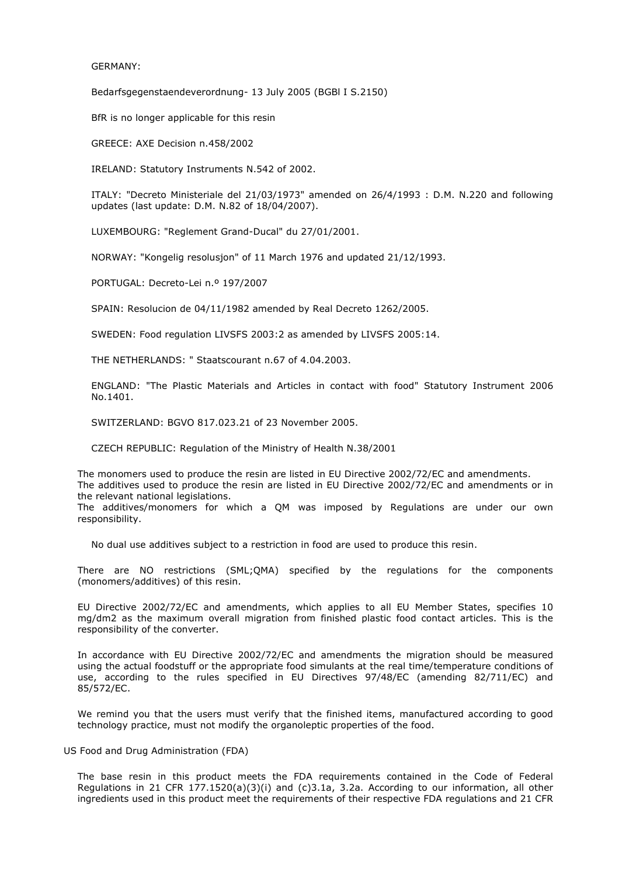GERMANY:

Bedarfsgegenstaendeverordnung- 13 July 2005 (BGBl I S.2150)

BfR is no longer applicable for this resin

GREECE: AXE Decision n.458/2002

IRELAND: Statutory Instruments N.542 of 2002.

ITALY: "Decreto Ministeriale del 21/03/1973" amended on 26/4/1993 : D.M. N.220 and following updates (last update: D.M. N.82 of 18/04/2007).

LUXEMBOURG: "Reglement Grand-Ducal" du 27/01/2001.

NORWAY: "Kongelig resolusjon" of 11 March 1976 and updated 21/12/1993.

PORTUGAL: Decreto-Lei n.º 197/2007

SPAIN: Resolucion de 04/11/1982 amended by Real Decreto 1262/2005.

SWEDEN: Food regulation LIVSFS 2003:2 as amended by LIVSFS 2005:14.

THE NETHERLANDS: " Staatscourant n.67 of 4.04.2003.

ENGLAND: "The Plastic Materials and Articles in contact with food" Statutory Instrument 2006 No.1401.

SWITZERLAND: BGVO 817.023.21 of 23 November 2005.

CZECH REPUBLIC: Regulation of the Ministry of Health N.38/2001

The monomers used to produce the resin are listed in EU Directive 2002/72/EC and amendments. The additives used to produce the resin are listed in EU Directive 2002/72/EC and amendments or in the relevant national legislations.

The additives/monomers for which a QM was imposed by Regulations are under our own responsibility.

No dual use additives subject to a restriction in food are used to produce this resin.

There are NO restrictions (SML;QMA) specified by the regulations for the components (monomers/additives) of this resin.

EU Directive 2002/72/EC and amendments, which applies to all EU Member States, specifies 10 mg/dm2 as the maximum overall migration from finished plastic food contact articles. This is the responsibility of the converter.

In accordance with EU Directive 2002/72/EC and amendments the migration should be measured using the actual foodstuff or the appropriate food simulants at the real time/temperature conditions of use, according to the rules specified in EU Directives 97/48/EC (amending 82/711/EC) and 85/572/EC.

We remind you that the users must verify that the finished items, manufactured according to good technology practice, must not modify the organoleptic properties of the food.

US Food and Drug Administration (FDA)

The base resin in this product meets the FDA requirements contained in the Code of Federal Regulations in 21 CFR 177.1520(a)(3)(i) and (c)3.1a, 3.2a. According to our information, all other ingredients used in this product meet the requirements of their respective FDA regulations and 21 CFR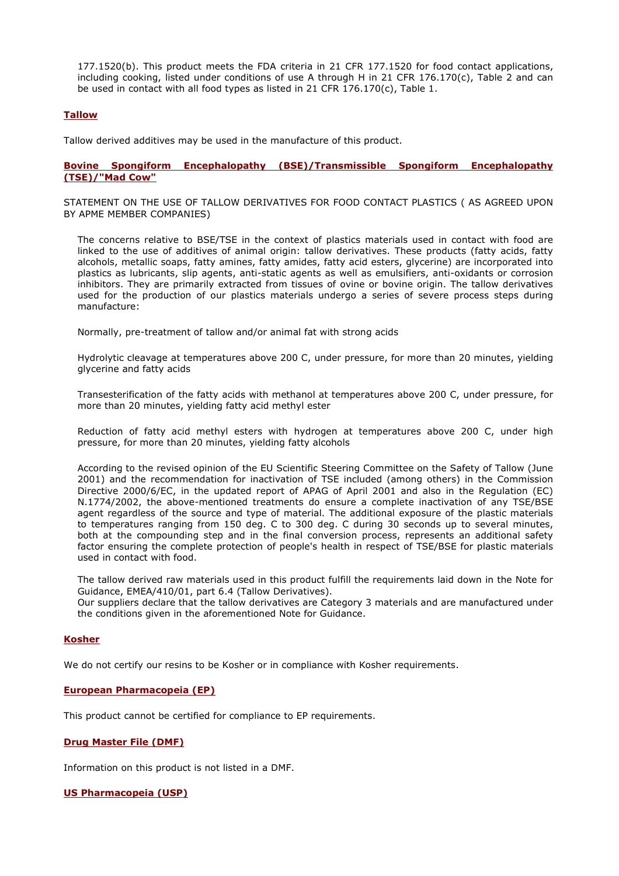177.1520(b). This product meets the FDA criteria in 21 CFR 177.1520 for food contact applications, including cooking, listed under conditions of use A through H in 21 CFR 176.170(c), Table 2 and can be used in contact with all food types as listed in 21 CFR 176.170(c), Table 1.

# Tallow

Tallow derived additives may be used in the manufacture of this product.

# Bovine Spongiform Encephalopathy (BSE)/Transmissible Spongiform Encephalopathy (TSE)/"Mad Cow"

STATEMENT ON THE USE OF TALLOW DERIVATIVES FOR FOOD CONTACT PLASTICS ( AS AGREED UPON BY APME MEMBER COMPANIES)

The concerns relative to BSE/TSE in the context of plastics materials used in contact with food are linked to the use of additives of animal origin: tallow derivatives. These products (fatty acids, fatty alcohols, metallic soaps, fatty amines, fatty amides, fatty acid esters, glycerine) are incorporated into plastics as lubricants, slip agents, anti-static agents as well as emulsifiers, anti-oxidants or corrosion inhibitors. They are primarily extracted from tissues of ovine or bovine origin. The tallow derivatives used for the production of our plastics materials undergo a series of severe process steps during manufacture:

Normally, pre-treatment of tallow and/or animal fat with strong acids

Hydrolytic cleavage at temperatures above 200 C, under pressure, for more than 20 minutes, yielding glycerine and fatty acids

Transesterification of the fatty acids with methanol at temperatures above 200 C, under pressure, for more than 20 minutes, yielding fatty acid methyl ester

Reduction of fatty acid methyl esters with hydrogen at temperatures above 200 C, under high pressure, for more than 20 minutes, yielding fatty alcohols

According to the revised opinion of the EU Scientific Steering Committee on the Safety of Tallow (June 2001) and the recommendation for inactivation of TSE included (among others) in the Commission Directive 2000/6/EC, in the updated report of APAG of April 2001 and also in the Regulation (EC) N.1774/2002, the above-mentioned treatments do ensure a complete inactivation of any TSE/BSE agent regardless of the source and type of material. The additional exposure of the plastic materials to temperatures ranging from 150 deg. C to 300 deg. C during 30 seconds up to several minutes, both at the compounding step and in the final conversion process, represents an additional safety factor ensuring the complete protection of people's health in respect of TSE/BSE for plastic materials used in contact with food.

The tallow derived raw materials used in this product fulfill the requirements laid down in the Note for Guidance, EMEA/410/01, part 6.4 (Tallow Derivatives).

Our suppliers declare that the tallow derivatives are Category 3 materials and are manufactured under the conditions given in the aforementioned Note for Guidance.

# Kosher

We do not certify our resins to be Kosher or in compliance with Kosher requirements.

### European Pharmacopeia (EP)

This product cannot be certified for compliance to EP requirements.

### Drug Master File (DMF)

Information on this product is not listed in a DMF.

# US Pharmacopeia (USP)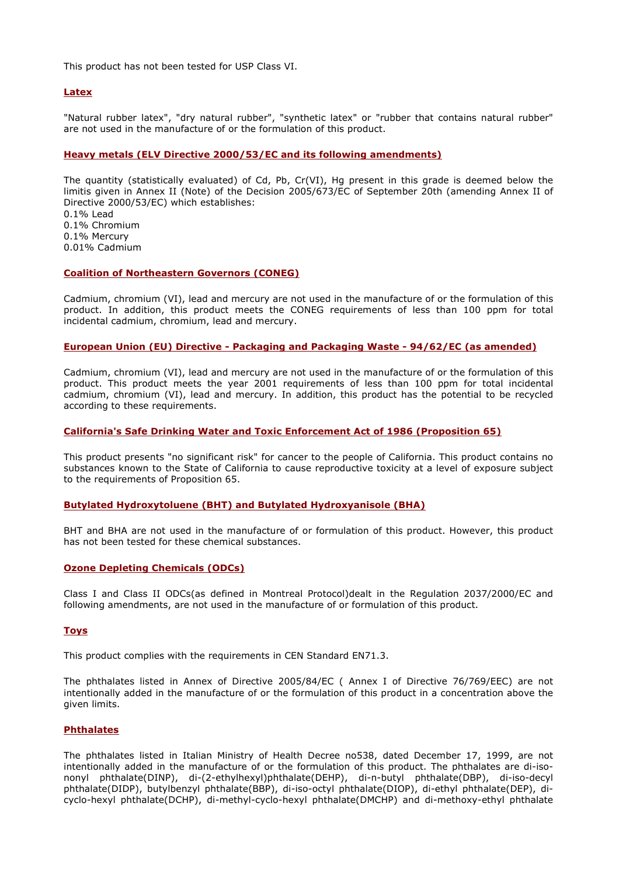This product has not been tested for USP Class VI.

# Latex

"Natural rubber latex", "dry natural rubber", "synthetic latex" or "rubber that contains natural rubber" are not used in the manufacture of or the formulation of this product.

# Heavy metals (ELV Directive 2000/53/EC and its following amendments)

The quantity (statistically evaluated) of Cd, Pb, Cr(VI), Hg present in this grade is deemed below the limitis given in Annex II (Note) of the Decision 2005/673/EC of September 20th (amending Annex II of Directive 2000/53/EC) which establishes: 0.1% Lead 0.1% Chromium 0.1% Mercury 0.01% Cadmium

# Coalition of Northeastern Governors (CONEG)

Cadmium, chromium (VI), lead and mercury are not used in the manufacture of or the formulation of this product. In addition, this product meets the CONEG requirements of less than 100 ppm for total incidental cadmium, chromium, lead and mercury.

### European Union (EU) Directive - Packaging and Packaging Waste - 94/62/EC (as amended)

Cadmium, chromium (VI), lead and mercury are not used in the manufacture of or the formulation of this product. This product meets the year 2001 requirements of less than 100 ppm for total incidental cadmium, chromium (VI), lead and mercury. In addition, this product has the potential to be recycled according to these requirements.

# California's Safe Drinking Water and Toxic Enforcement Act of 1986 (Proposition 65)

This product presents "no significant risk" for cancer to the people of California. This product contains no substances known to the State of California to cause reproductive toxicity at a level of exposure subject to the requirements of Proposition 65.

### Butylated Hydroxytoluene (BHT) and Butylated Hydroxyanisole (BHA)

BHT and BHA are not used in the manufacture of or formulation of this product. However, this product has not been tested for these chemical substances.

### Ozone Depleting Chemicals (ODCs)

Class I and Class II ODCs(as defined in Montreal Protocol)dealt in the Regulation 2037/2000/EC and following amendments, are not used in the manufacture of or formulation of this product.

# **Toys**

This product complies with the requirements in CEN Standard EN71.3.

The phthalates listed in Annex of Directive 2005/84/EC ( Annex I of Directive 76/769/EEC) are not intentionally added in the manufacture of or the formulation of this product in a concentration above the given limits.

# Phthalates

The phthalates listed in Italian Ministry of Health Decree no538, dated December 17, 1999, are not intentionally added in the manufacture of or the formulation of this product. The phthalates are di-isononyl phthalate(DINP), di-(2-ethylhexyl)phthalate(DEHP), di-n-butyl phthalate(DBP), di-iso-decyl phthalate(DIDP), butylbenzyl phthalate(BBP), di-iso-octyl phthalate(DIOP), di-ethyl phthalate(DEP), dicyclo-hexyl phthalate(DCHP), di-methyl-cyclo-hexyl phthalate(DMCHP) and di-methoxy-ethyl phthalate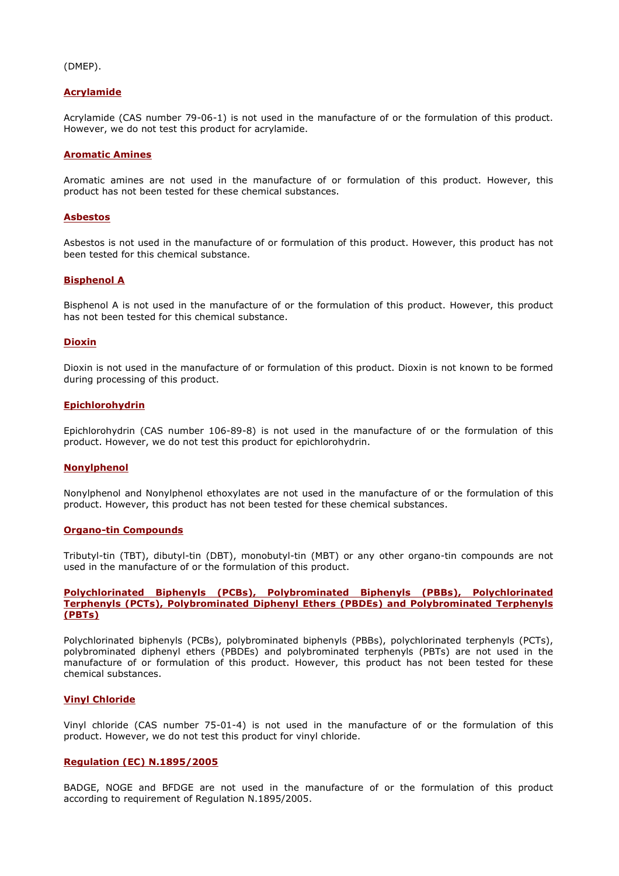(DMEP).

#### **Acrylamide**

Acrylamide (CAS number 79-06-1) is not used in the manufacture of or the formulation of this product. However, we do not test this product for acrylamide.

#### Aromatic Amines

Aromatic amines are not used in the manufacture of or formulation of this product. However, this product has not been tested for these chemical substances.

#### **Asbestos**

Asbestos is not used in the manufacture of or formulation of this product. However, this product has not been tested for this chemical substance.

## Bisphenol A

Bisphenol A is not used in the manufacture of or the formulation of this product. However, this product has not been tested for this chemical substance.

#### Dioxin

Dioxin is not used in the manufacture of or formulation of this product. Dioxin is not known to be formed during processing of this product.

#### Epichlorohydrin

Epichlorohydrin (CAS number 106-89-8) is not used in the manufacture of or the formulation of this product. However, we do not test this product for epichlorohydrin.

#### **Nonylphenol**

Nonylphenol and Nonylphenol ethoxylates are not used in the manufacture of or the formulation of this product. However, this product has not been tested for these chemical substances.

#### Organo-tin Compounds

Tributyl-tin (TBT), dibutyl-tin (DBT), monobutyl-tin (MBT) or any other organo-tin compounds are not used in the manufacture of or the formulation of this product.

#### Polychlorinated Biphenyls (PCBs), Polybrominated Biphenyls (PBBs), Polychlorinated Terphenyls (PCTs), Polybrominated Diphenyl Ethers (PBDEs) and Polybrominated Terphenyls (PBTs)

Polychlorinated biphenyls (PCBs), polybrominated biphenyls (PBBs), polychlorinated terphenyls (PCTs), polybrominated diphenyl ethers (PBDEs) and polybrominated terphenyls (PBTs) are not used in the manufacture of or formulation of this product. However, this product has not been tested for these chemical substances.

# Vinyl Chloride

Vinyl chloride (CAS number 75-01-4) is not used in the manufacture of or the formulation of this product. However, we do not test this product for vinyl chloride.

# Regulation (EC) N.1895/2005

BADGE, NOGE and BFDGE are not used in the manufacture of or the formulation of this product according to requirement of Regulation N.1895/2005.